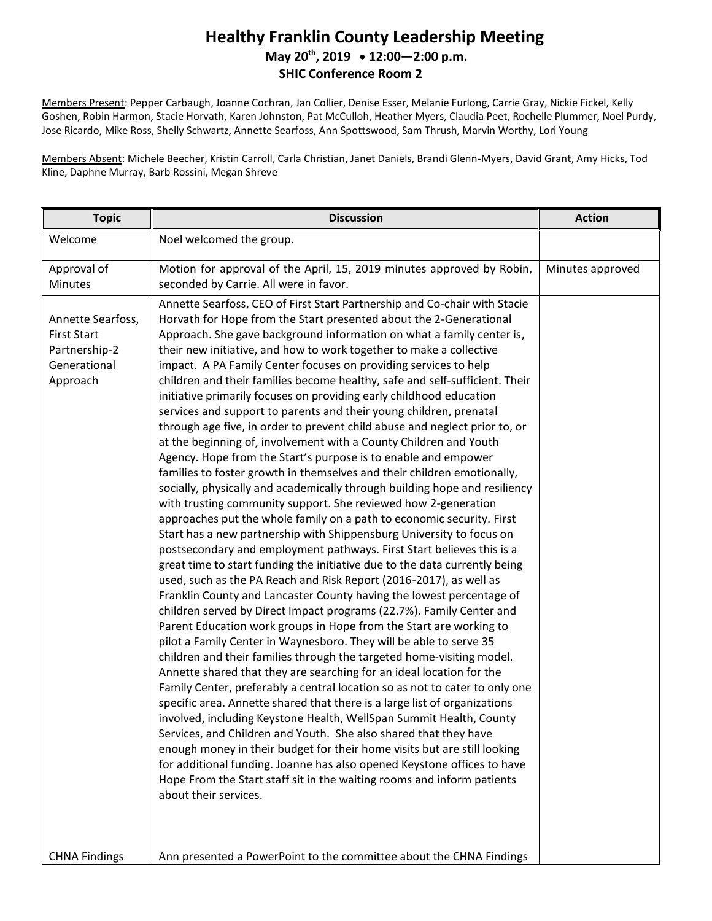## **Healthy Franklin County Leadership Meeting May 20th , 2019 12:00—2:00 p.m. SHIC Conference Room 2**

Members Present: Pepper Carbaugh, Joanne Cochran, Jan Collier, Denise Esser, Melanie Furlong, Carrie Gray, Nickie Fickel, Kelly Goshen, Robin Harmon, Stacie Horvath, Karen Johnston, Pat McCulloh, Heather Myers, Claudia Peet, Rochelle Plummer, Noel Purdy, Jose Ricardo, Mike Ross, Shelly Schwartz, Annette Searfoss, Ann Spottswood, Sam Thrush, Marvin Worthy, Lori Young

Members Absent: Michele Beecher, Kristin Carroll, Carla Christian, Janet Daniels, Brandi Glenn-Myers, David Grant, Amy Hicks, Tod Kline, Daphne Murray, Barb Rossini, Megan Shreve

| <b>Topic</b>                                                                         | <b>Discussion</b>                                                                                                                                                                                                                                                                                                                                                                                                                                                                                                                                                                                                                                                                                                                                                                                                                                                                                                                                                                                                                                                                                                                                                                                                                                                                                                                                                                                                                                                                                                                                                                                                                                                                                                                                                                                                                                                                                                                                                                                                                                                                                                                                                                                                                                                                                                                                                                                                                           | <b>Action</b>    |
|--------------------------------------------------------------------------------------|---------------------------------------------------------------------------------------------------------------------------------------------------------------------------------------------------------------------------------------------------------------------------------------------------------------------------------------------------------------------------------------------------------------------------------------------------------------------------------------------------------------------------------------------------------------------------------------------------------------------------------------------------------------------------------------------------------------------------------------------------------------------------------------------------------------------------------------------------------------------------------------------------------------------------------------------------------------------------------------------------------------------------------------------------------------------------------------------------------------------------------------------------------------------------------------------------------------------------------------------------------------------------------------------------------------------------------------------------------------------------------------------------------------------------------------------------------------------------------------------------------------------------------------------------------------------------------------------------------------------------------------------------------------------------------------------------------------------------------------------------------------------------------------------------------------------------------------------------------------------------------------------------------------------------------------------------------------------------------------------------------------------------------------------------------------------------------------------------------------------------------------------------------------------------------------------------------------------------------------------------------------------------------------------------------------------------------------------------------------------------------------------------------------------------------------------|------------------|
| Welcome                                                                              | Noel welcomed the group.                                                                                                                                                                                                                                                                                                                                                                                                                                                                                                                                                                                                                                                                                                                                                                                                                                                                                                                                                                                                                                                                                                                                                                                                                                                                                                                                                                                                                                                                                                                                                                                                                                                                                                                                                                                                                                                                                                                                                                                                                                                                                                                                                                                                                                                                                                                                                                                                                    |                  |
| Approval of<br>Minutes                                                               | Motion for approval of the April, 15, 2019 minutes approved by Robin,<br>seconded by Carrie. All were in favor.                                                                                                                                                                                                                                                                                                                                                                                                                                                                                                                                                                                                                                                                                                                                                                                                                                                                                                                                                                                                                                                                                                                                                                                                                                                                                                                                                                                                                                                                                                                                                                                                                                                                                                                                                                                                                                                                                                                                                                                                                                                                                                                                                                                                                                                                                                                             | Minutes approved |
| Annette Searfoss,<br><b>First Start</b><br>Partnership-2<br>Generational<br>Approach | Annette Searfoss, CEO of First Start Partnership and Co-chair with Stacie<br>Horvath for Hope from the Start presented about the 2-Generational<br>Approach. She gave background information on what a family center is,<br>their new initiative, and how to work together to make a collective<br>impact. A PA Family Center focuses on providing services to help<br>children and their families become healthy, safe and self-sufficient. Their<br>initiative primarily focuses on providing early childhood education<br>services and support to parents and their young children, prenatal<br>through age five, in order to prevent child abuse and neglect prior to, or<br>at the beginning of, involvement with a County Children and Youth<br>Agency. Hope from the Start's purpose is to enable and empower<br>families to foster growth in themselves and their children emotionally,<br>socially, physically and academically through building hope and resiliency<br>with trusting community support. She reviewed how 2-generation<br>approaches put the whole family on a path to economic security. First<br>Start has a new partnership with Shippensburg University to focus on<br>postsecondary and employment pathways. First Start believes this is a<br>great time to start funding the initiative due to the data currently being<br>used, such as the PA Reach and Risk Report (2016-2017), as well as<br>Franklin County and Lancaster County having the lowest percentage of<br>children served by Direct Impact programs (22.7%). Family Center and<br>Parent Education work groups in Hope from the Start are working to<br>pilot a Family Center in Waynesboro. They will be able to serve 35<br>children and their families through the targeted home-visiting model.<br>Annette shared that they are searching for an ideal location for the<br>Family Center, preferably a central location so as not to cater to only one<br>specific area. Annette shared that there is a large list of organizations<br>involved, including Keystone Health, WellSpan Summit Health, County<br>Services, and Children and Youth. She also shared that they have<br>enough money in their budget for their home visits but are still looking<br>for additional funding. Joanne has also opened Keystone offices to have<br>Hope From the Start staff sit in the waiting rooms and inform patients<br>about their services. |                  |
| <b>CHNA Findings</b>                                                                 | Ann presented a PowerPoint to the committee about the CHNA Findings                                                                                                                                                                                                                                                                                                                                                                                                                                                                                                                                                                                                                                                                                                                                                                                                                                                                                                                                                                                                                                                                                                                                                                                                                                                                                                                                                                                                                                                                                                                                                                                                                                                                                                                                                                                                                                                                                                                                                                                                                                                                                                                                                                                                                                                                                                                                                                         |                  |